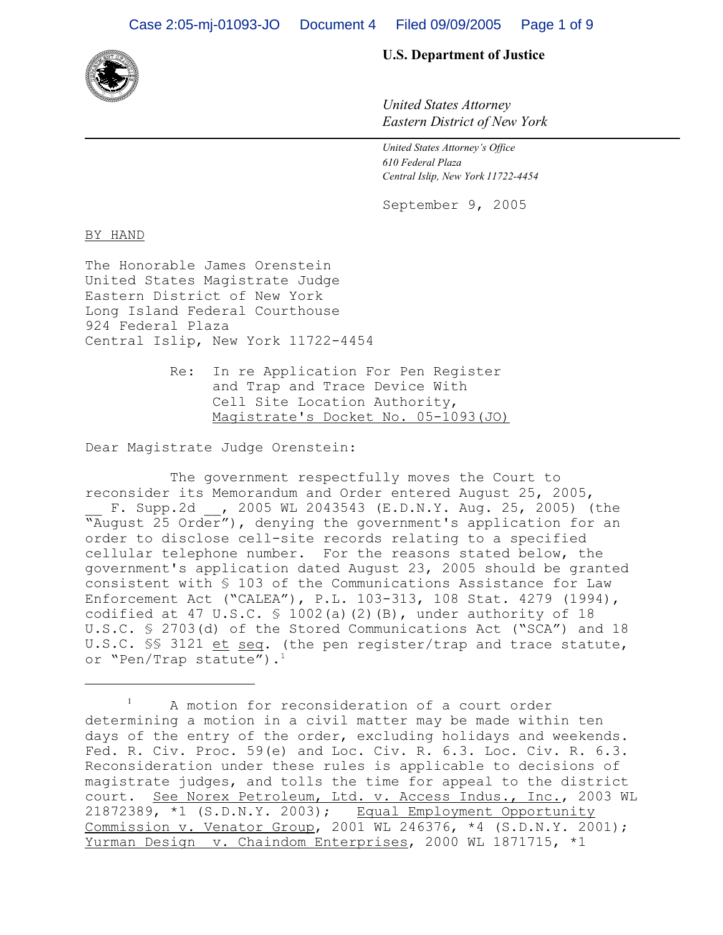

## **U.S. Department of Justice**

*United States Attorney Eastern District of New York*

 *United States Attorney's Office 610 Federal Plaza Central Islip, New York 11722-4454*

September 9, 2005

BY HAND

The Honorable James Orenstein United States Magistrate Judge Eastern District of New York Long Island Federal Courthouse 924 Federal Plaza Central Islip, New York 11722-4454

> Re: In re Application For Pen Register and Trap and Trace Device With Cell Site Location Authority, Magistrate's Docket No. 05-1093(JO)

Dear Magistrate Judge Orenstein:

The government respectfully moves the Court to reconsider its Memorandum and Order entered August 25, 2005, F. Supp.2d , 2005 WL 2043543 (E.D.N.Y. Aug. 25, 2005) (the Whow Taugust 25 Order"), denying the government's application for an order to disclose cell-site records relating to a specified cellular telephone number. For the reasons stated below, the government's application dated August 23, 2005 should be granted consistent with § 103 of the Communications Assistance for Law Enforcement Act ("CALEA"), P.L. 103-313, 108 Stat. 4279 (1994), codified at 47 U.S.C.  $\frac{1002}{a}$  (2)(B), under authority of 18 U.S.C. § 2703(d) of the Stored Communications Act ("SCA") and 18 U.S.C. §§ 3121 et seq. (the pen register/trap and trace statute, or "Pen/Trap statute").<sup>1</sup>

<sup>&</sup>lt;sup>1</sup> A motion for reconsideration of a court order determining a motion in a civil matter may be made within ten days of the entry of the order, excluding holidays and weekends. Fed. R. Civ. Proc. 59(e) and Loc. Civ. R. 6.3. Loc. Civ. R. 6.3. Reconsideration under these rules is applicable to decisions of magistrate judges, and tolls the time for appeal to the district court. See Norex Petroleum, Ltd. v. Access Indus., Inc., 2003 WL 21872389, \*1 (S.D.N.Y. 2003); Equal Employment Opportunity Commission v. Venator Group, 2001 WL 246376, \*4 (S.D.N.Y. 2001); Yurman Design v. Chaindom Enterprises, 2000 WL 1871715, \*1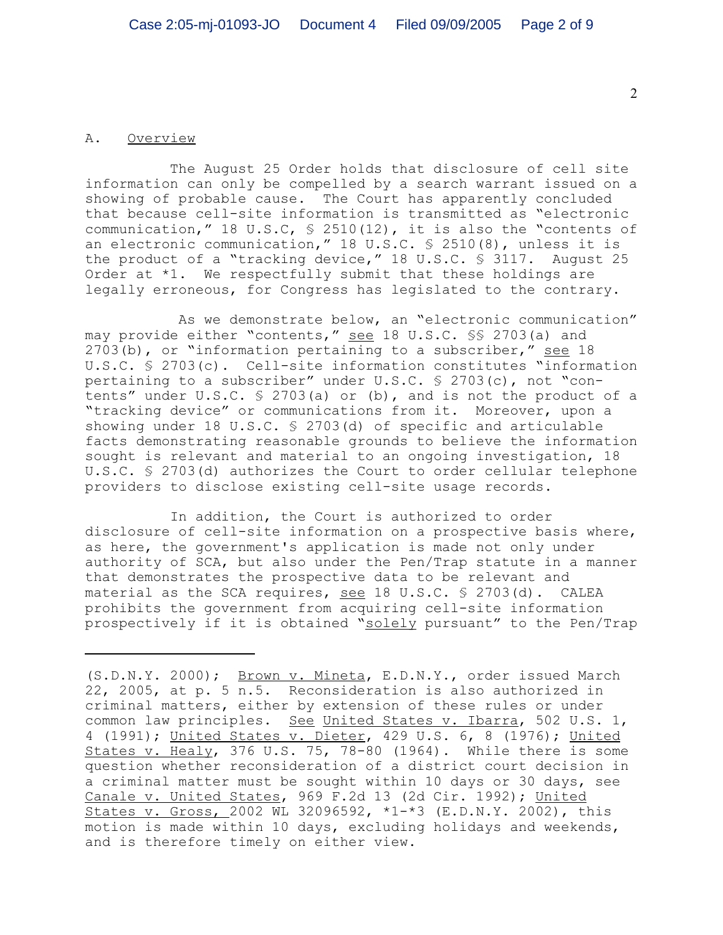## A. Overview

The August 25 Order holds that disclosure of cell site information can only be compelled by a search warrant issued on a showing of probable cause. The Court has apparently concluded that because cell-site information is transmitted as "electronic communication," 18 U.S.C, § 2510(12), it is also the "contents of an electronic communication," 18 U.S.C. § 2510(8), unless it is the product of a "tracking device," 18 U.S.C. § 3117. August 25 Order at \*1. We respectfully submit that these holdings are legally erroneous, for Congress has legislated to the contrary.

 As we demonstrate below, an "electronic communication" may provide either "contents," see 18 U.S.C. §§ 2703(a) and 2703(b), or "information pertaining to a subscriber," see 18 U.S.C. § 2703(c). Cell-site information constitutes "information pertaining to a subscriber" under U.S.C. § 2703(c), not "contents" under U.S.C. § 2703(a) or (b), and is not the product of a "tracking device" or communications from it. Moreover, upon a showing under 18 U.S.C. § 2703(d) of specific and articulable facts demonstrating reasonable grounds to believe the information sought is relevant and material to an ongoing investigation, 18 U.S.C. § 2703(d) authorizes the Court to order cellular telephone providers to disclose existing cell-site usage records.

In addition, the Court is authorized to order disclosure of cell-site information on a prospective basis where, as here, the government's application is made not only under authority of SCA, but also under the Pen/Trap statute in a manner that demonstrates the prospective data to be relevant and material as the SCA requires, see 18 U.S.C. § 2703(d). CALEA prohibits the government from acquiring cell-site information prospectively if it is obtained "solely pursuant" to the Pen/Trap

<sup>(</sup>S.D.N.Y. 2000); Brown v. Mineta, E.D.N.Y., order issued March 22, 2005, at p. 5 n.5. Reconsideration is also authorized in criminal matters, either by extension of these rules or under common law principles. See United States v. Ibarra, 502 U.S. 1, 4 (1991); United States v. Dieter, 429 U.S. 6, 8 (1976); United States v. Healy, 376 U.S. 75, 78-80 (1964). While there is some question whether reconsideration of a district court decision in a criminal matter must be sought within 10 days or 30 days, see Canale v. United States, 969 F.2d 13 (2d Cir. 1992); United States v. Gross, 2002 WL 32096592, \*1-\*3 (E.D.N.Y. 2002), this motion is made within 10 days, excluding holidays and weekends, and is therefore timely on either view.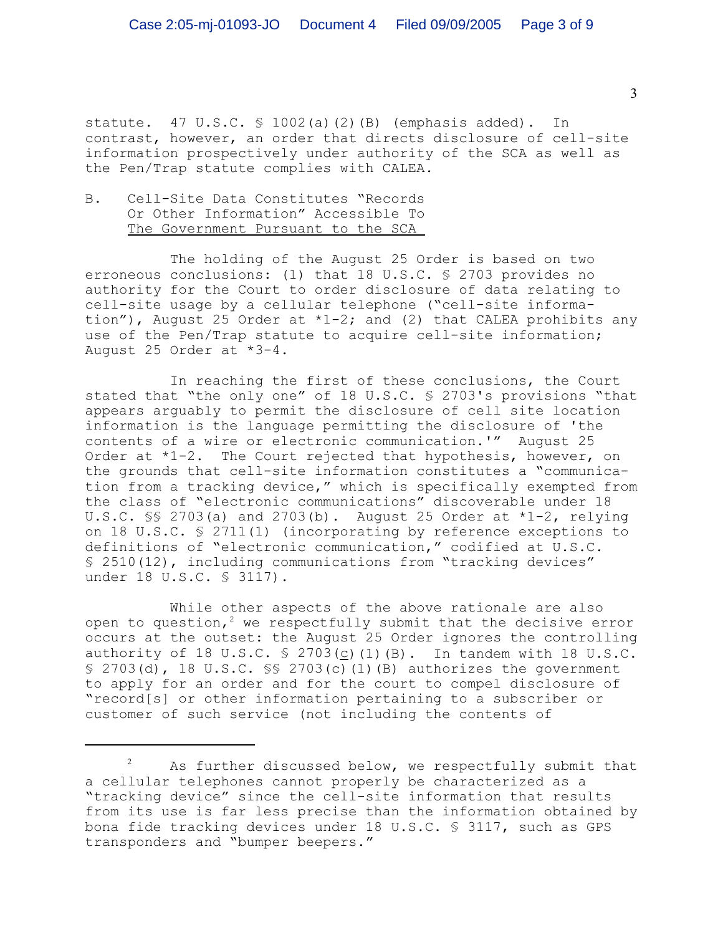statute. 47 U.S.C. § 1002(a)(2)(B) (emphasis added). In contrast, however, an order that directs disclosure of cell-site information prospectively under authority of the SCA as well as the Pen/Trap statute complies with CALEA.

## B. Cell-Site Data Constitutes "Records Or Other Information" Accessible To The Government Pursuant to the SCA

The holding of the August 25 Order is based on two erroneous conclusions: (1) that 18 U.S.C. § 2703 provides no authority for the Court to order disclosure of data relating to cell-site usage by a cellular telephone ("cell-site information"), August 25 Order at  $*1-2$ ; and (2) that CALEA prohibits any use of the Pen/Trap statute to acquire cell-site information; August 25 Order at \*3-4.

In reaching the first of these conclusions, the Court stated that "the only one" of 18 U.S.C. § 2703's provisions "that appears arguably to permit the disclosure of cell site location information is the language permitting the disclosure of 'the contents of a wire or electronic communication.'" August 25 Order at \*1-2. The Court rejected that hypothesis, however, on the grounds that cell-site information constitutes a "communication from a tracking device," which is specifically exempted from the class of "electronic communications" discoverable under 18 U.S.C.  $\S$  2703(a) and 2703(b). August 25 Order at  $*1-2$ , relying on 18 U.S.C. § 2711(1) (incorporating by reference exceptions to definitions of "electronic communication," codified at U.S.C. § 2510(12), including communications from "tracking devices" under 18 U.S.C. § 3117).

While other aspects of the above rationale are also open to question,<sup>2</sup> we respectfully submit that the decisive error occurs at the outset: the August 25 Order ignores the controlling authority of 18 U.S.C.  $\frac{1}{2}$  2703(c)(1)(B). In tandem with 18 U.S.C.  $\S$  2703(d), 18 U.S.C.  $\S$  2703(c)(1)(B) authorizes the government to apply for an order and for the court to compel disclosure of "record[s] or other information pertaining to a subscriber or customer of such service (not including the contents of

 $2^2$  As further discussed below, we respectfully submit that a cellular telephones cannot properly be characterized as a "tracking device" since the cell-site information that results from its use is far less precise than the information obtained by bona fide tracking devices under 18 U.S.C. § 3117, such as GPS transponders and "bumper beepers."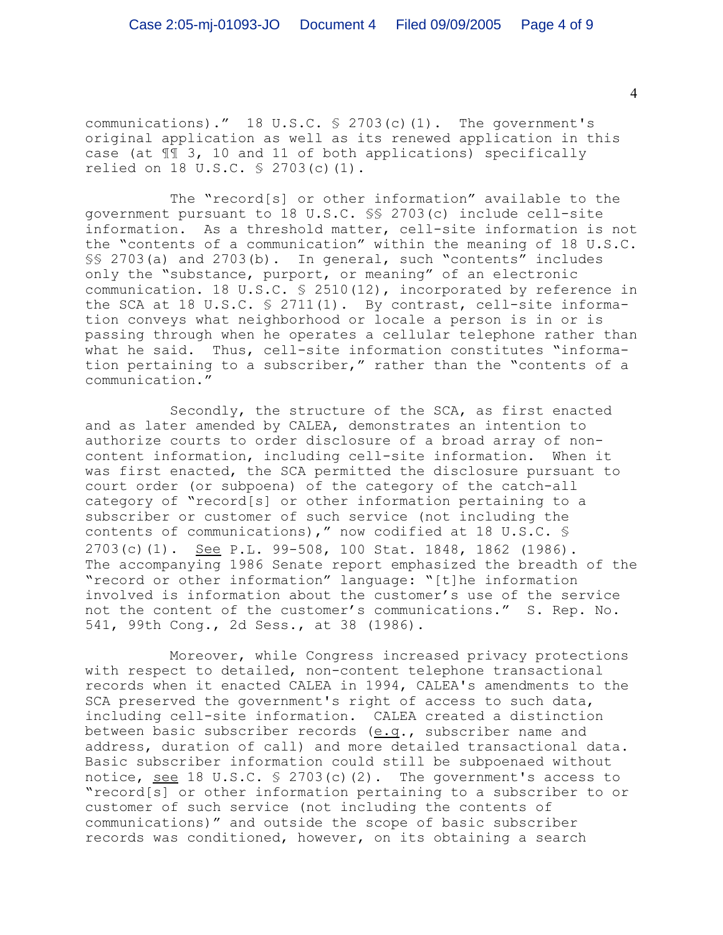communications)." 18 U.S.C. § 2703(c)(1). The government's original application as well as its renewed application in this case (at ¶¶ 3, 10 and 11 of both applications) specifically relied on 18 U.S.C. § 2703(c)(1).

The "record[s] or other information" available to the government pursuant to 18 U.S.C. §§ 2703(c) include cell-site information. As a threshold matter, cell-site information is not the "contents of a communication" within the meaning of 18 U.S.C. §§ 2703(a) and 2703(b). In general, such "contents" includes only the "substance, purport, or meaning" of an electronic communication. 18 U.S.C. § 2510(12), incorporated by reference in the SCA at 18 U.S.C. § 2711(1). By contrast, cell-site information conveys what neighborhood or locale a person is in or is passing through when he operates a cellular telephone rather than what he said. Thus, cell-site information constitutes "information pertaining to a subscriber," rather than the "contents of a communication."

Secondly, the structure of the SCA, as first enacted and as later amended by CALEA, demonstrates an intention to authorize courts to order disclosure of a broad array of noncontent information, including cell-site information. When it was first enacted, the SCA permitted the disclosure pursuant to court order (or subpoena) of the category of the catch-all category of "record[s] or other information pertaining to a subscriber or customer of such service (not including the contents of communications)," now codified at 18 U.S.C. § 2703(c)(1). See P.L. 99-508, 100 Stat. 1848, 1862 (1986). The accompanying 1986 Senate report emphasized the breadth of the "record or other information" language: "[t]he information involved is information about the customer's use of the service not the content of the customer's communications." S. Rep. No. 541, 99th Cong., 2d Sess., at 38 (1986).

Moreover, while Congress increased privacy protections with respect to detailed, non-content telephone transactional records when it enacted CALEA in 1994, CALEA's amendments to the SCA preserved the government's right of access to such data, including cell-site information. CALEA created a distinction between basic subscriber records (e.g., subscriber name and address, duration of call) and more detailed transactional data. Basic subscriber information could still be subpoenaed without notice, see 18 U.S.C.  $\frac{6}{5}$  2703(c)(2). The government's access to "record[s] or other information pertaining to a subscriber to or customer of such service (not including the contents of communications)" and outside the scope of basic subscriber records was conditioned, however, on its obtaining a search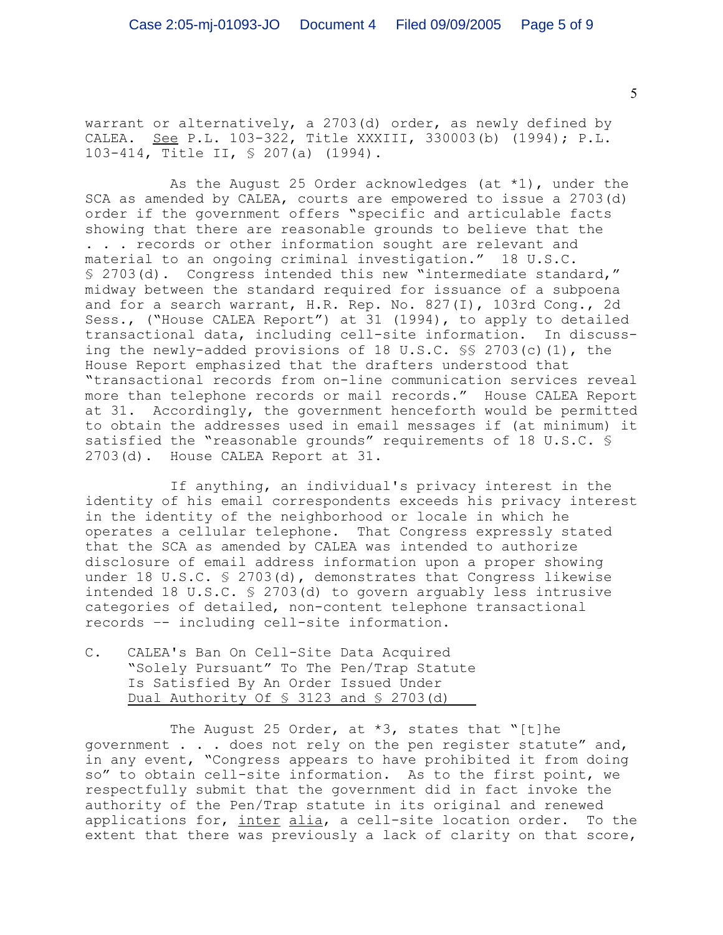warrant or alternatively, a 2703(d) order, as newly defined by CALEA. See P.L. 103-322, Title XXXIII, 330003(b) (1994); P.L. 103-414, Title II, § 207(a) (1994).

As the August 25 Order acknowledges (at  $*1$ ), under the SCA as amended by CALEA, courts are empowered to issue a 2703(d) order if the government offers "specific and articulable facts showing that there are reasonable grounds to believe that the . . . records or other information sought are relevant and material to an ongoing criminal investigation." 18 U.S.C. § 2703(d). Congress intended this new "intermediate standard," midway between the standard required for issuance of a subpoena and for a search warrant, H.R. Rep. No. 827(I), 103rd Cong., 2d Sess., ("House CALEA Report") at 31 (1994), to apply to detailed transactional data, including cell-site information. In discussing the newly-added provisions of 18 U.S.C. §§ 2703(c)(1), the House Report emphasized that the drafters understood that "transactional records from on-line communication services reveal more than telephone records or mail records." House CALEA Report at 31. Accordingly, the government henceforth would be permitted to obtain the addresses used in email messages if (at minimum) it satisfied the "reasonable grounds" requirements of 18 U.S.C. § 2703(d). House CALEA Report at 31.

If anything, an individual's privacy interest in the identity of his email correspondents exceeds his privacy interest in the identity of the neighborhood or locale in which he operates a cellular telephone. That Congress expressly stated that the SCA as amended by CALEA was intended to authorize disclosure of email address information upon a proper showing under 18 U.S.C.  $\frac{1}{2}$  2703(d), demonstrates that Congress likewise intended 18 U.S.C. § 2703(d) to govern arguably less intrusive categories of detailed, non-content telephone transactional records –- including cell-site information.

C. CALEA's Ban On Cell-Site Data Acquired "Solely Pursuant" To The Pen/Trap Statute Is Satisfied By An Order Issued Under Dual Authority Of  $\frac{1}{5}$  3123 and  $\frac{1}{5}$  2703(d)

The August 25 Order, at  $*3$ , states that "[t]he government . . . does not rely on the pen register statute" and, in any event, "Congress appears to have prohibited it from doing so" to obtain cell-site information. As to the first point, we respectfully submit that the government did in fact invoke the authority of the Pen/Trap statute in its original and renewed applications for, inter alia, a cell-site location order. To the extent that there was previously a lack of clarity on that score,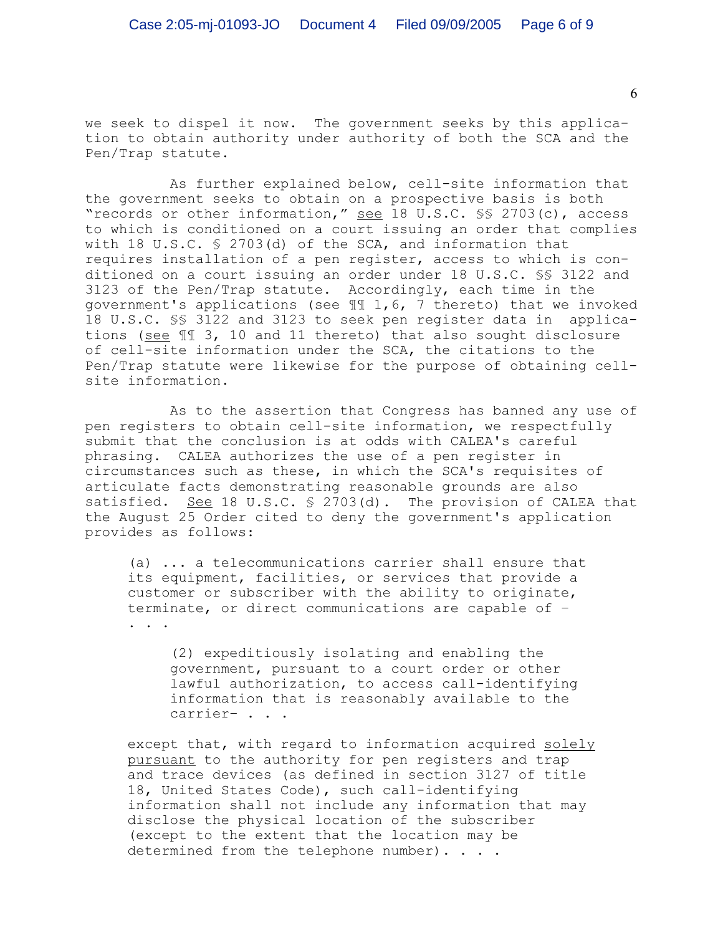we seek to dispel it now. The government seeks by this application to obtain authority under authority of both the SCA and the Pen/Trap statute.

As further explained below, cell-site information that the government seeks to obtain on a prospective basis is both "records or other information," see 18 U.S.C. §§ 2703(c), access to which is conditioned on a court issuing an order that complies with 18 U.S.C. § 2703(d) of the SCA, and information that requires installation of a pen register, access to which is conditioned on a court issuing an order under 18 U.S.C. §§ 3122 and 3123 of the Pen/Trap statute. Accordingly, each time in the government's applications (see ¶¶ 1,6, 7 thereto) that we invoked 18 U.S.C. §§ 3122 and 3123 to seek pen register data in applications (see ¶¶ 3, 10 and 11 thereto) that also sought disclosure of cell-site information under the SCA, the citations to the Pen/Trap statute were likewise for the purpose of obtaining cellsite information.

As to the assertion that Congress has banned any use of pen registers to obtain cell-site information, we respectfully submit that the conclusion is at odds with CALEA's careful phrasing. CALEA authorizes the use of a pen register in circumstances such as these, in which the SCA's requisites of articulate facts demonstrating reasonable grounds are also satisfied. See 18 U.S.C.  $\frac{1}{2}$  2703(d). The provision of CALEA that the August 25 Order cited to deny the government's application provides as follows:

(a) ... a telecommunications carrier shall ensure that its equipment, facilities, or services that provide a customer or subscriber with the ability to originate, terminate, or direct communications are capable of – . . .

(2) expeditiously isolating and enabling the government, pursuant to a court order or other lawful authorization, to access call-identifying information that is reasonably available to the carrier– . . .

except that, with regard to information acquired solely pursuant to the authority for pen registers and trap and trace devices (as defined in section 3127 of title 18, United States Code), such call-identifying information shall not include any information that may disclose the physical location of the subscriber (except to the extent that the location may be determined from the telephone number). . . .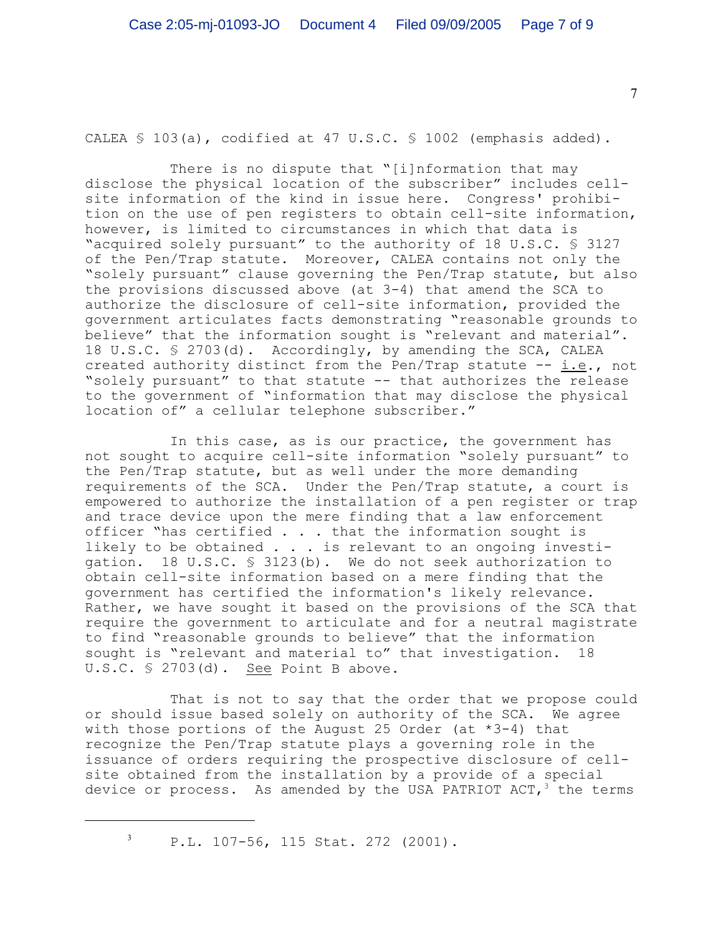CALEA § 103(a), codified at 47 U.S.C. § 1002 (emphasis added).

There is no dispute that "[i]nformation that may disclose the physical location of the subscriber" includes cellsite information of the kind in issue here. Congress' prohibition on the use of pen registers to obtain cell-site information, however, is limited to circumstances in which that data is "acquired solely pursuant" to the authority of 18 U.S.C. § 3127 of the Pen/Trap statute. Moreover, CALEA contains not only the "solely pursuant" clause governing the Pen/Trap statute, but also the provisions discussed above (at 3-4) that amend the SCA to authorize the disclosure of cell-site information, provided the government articulates facts demonstrating "reasonable grounds to believe" that the information sought is "relevant and material". 18 U.S.C. § 2703(d). Accordingly, by amending the SCA, CALEA created authority distinct from the Pen/Trap statute -- i.e., not "solely pursuant" to that statute -- that authorizes the release to the government of "information that may disclose the physical location of" a cellular telephone subscriber."

In this case, as is our practice, the government has not sought to acquire cell-site information "solely pursuant" to the Pen/Trap statute, but as well under the more demanding requirements of the SCA. Under the Pen/Trap statute, a court is empowered to authorize the installation of a pen register or trap and trace device upon the mere finding that a law enforcement officer "has certified  $\ldots$  . that the information sought is likely to be obtained . . . is relevant to an ongoing investigation. 18 U.S.C. § 3123(b). We do not seek authorization to obtain cell-site information based on a mere finding that the government has certified the information's likely relevance. Rather, we have sought it based on the provisions of the SCA that require the government to articulate and for a neutral magistrate to find "reasonable grounds to believe" that the information sought is "relevant and material to" that investigation. 18 U.S.C. § 2703(d). See Point B above.

That is not to say that the order that we propose could or should issue based solely on authority of the SCA. We agree with those portions of the August 25 Order (at \*3-4) that recognize the Pen/Trap statute plays a governing role in the issuance of orders requiring the prospective disclosure of cellsite obtained from the installation by a provide of a special device or process. As amended by the USA PATRIOT  $ACT, <sup>3</sup>$  the terms

<sup>3</sup> P.L. 107-56, 115 Stat. 272 (2001).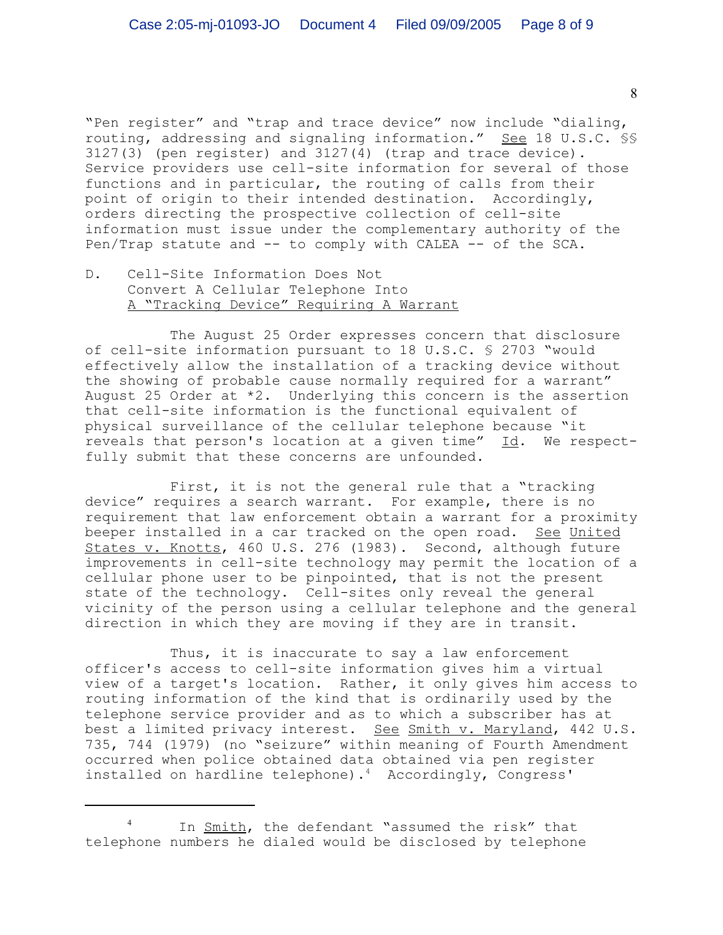"Pen register" and "trap and trace device" now include "dialing, routing, addressing and signaling information." See 18 U.S.C. §§ 3127(3) (pen register) and 3127(4) (trap and trace device). Service providers use cell-site information for several of those functions and in particular, the routing of calls from their point of origin to their intended destination. Accordingly, orders directing the prospective collection of cell-site information must issue under the complementary authority of the Pen/Trap statute and  $--$  to comply with CALEA  $--$  of the SCA.

D. Cell-Site Information Does Not Convert A Cellular Telephone Into A "Tracking Device" Requiring A Warrant

The August 25 Order expresses concern that disclosure of cell-site information pursuant to 18 U.S.C. § 2703 "would effectively allow the installation of a tracking device without the showing of probable cause normally required for a warrant" August 25 Order at \*2. Underlying this concern is the assertion that cell-site information is the functional equivalent of physical surveillance of the cellular telephone because "it reveals that person's location at a given time" Id. We respectfully submit that these concerns are unfounded.

First, it is not the general rule that a "tracking device" requires a search warrant. For example, there is no requirement that law enforcement obtain a warrant for a proximity beeper installed in a car tracked on the open road. See United States v. Knotts, 460 U.S. 276 (1983). Second, although future improvements in cell-site technology may permit the location of a cellular phone user to be pinpointed, that is not the present state of the technology. Cell-sites only reveal the general vicinity of the person using a cellular telephone and the general direction in which they are moving if they are in transit.

Thus, it is inaccurate to say a law enforcement officer's access to cell-site information gives him a virtual view of a target's location. Rather, it only gives him access to routing information of the kind that is ordinarily used by the telephone service provider and as to which a subscriber has at best a limited privacy interest. See Smith v. Maryland, 442 U.S. 735, 744 (1979) (no "seizure" within meaning of Fourth Amendment occurred when police obtained data obtained via pen register installed on hardline telephone).<sup>4</sup> Accordingly, Congress'

In Smith, the defendant "assumed the risk" that telephone numbers he dialed would be disclosed by telephone